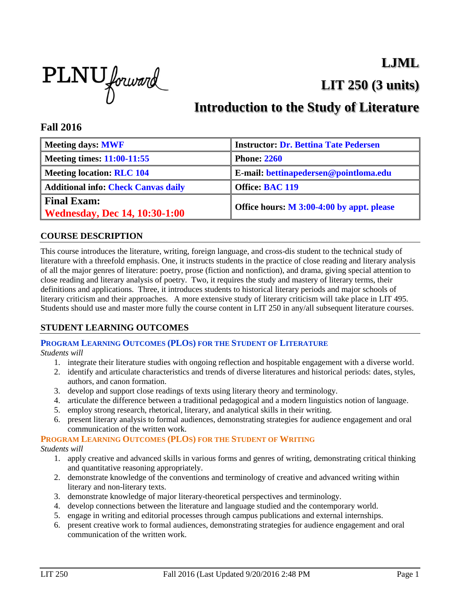## **LJML**

**LIT 250 (3 units)**



# **Introduction to the Study of Literature**

### **Fall 2016**

| <b>Meeting days: MWF</b>                                   | <b>Instructor: Dr. Bettina Tate Pedersen</b> |
|------------------------------------------------------------|----------------------------------------------|
| <b>Meeting times: 11:00-11:55</b>                          | <b>Phone: 2260</b>                           |
| <b>Meeting location: RLC 104</b>                           | E-mail: bettinapedersen@pointloma.edu        |
| <b>Additional info: Check Canvas daily</b>                 | Office: BAC 119                              |
| <b>Final Exam:</b><br><b>Wednesday, Dec 14, 10:30-1:00</b> | Office hours: M 3:00-4:00 by appt. please    |

#### **COURSE DESCRIPTION**

This course introduces the literature, writing, foreign language, and cross-dis student to the technical study of literature with a threefold emphasis. One, it instructs students in the practice of close reading and literary analysis of all the major genres of literature: poetry, prose (fiction and nonfiction), and drama, giving special attention to close reading and literary analysis of poetry. Two, it requires the study and mastery of literary terms, their definitions and applications. Three, it introduces students to historical literary periods and major schools of literary criticism and their approaches. A more extensive study of literary criticism will take place in LIT 495. Students should use and master more fully the course content in LIT 250 in any/all subsequent literature courses.

#### **STUDENT LEARNING OUTCOMES**

### **PROGRAM LEARNING OUTCOMES (PLOS) FOR THE STUDENT OF LITERATURE**

*Students will*

- 1. integrate their literature studies with ongoing reflection and hospitable engagement with a diverse world.
- 2. identify and articulate characteristics and trends of diverse literatures and historical periods: dates, styles, authors, and canon formation.
- 3. develop and support close readings of texts using literary theory and terminology.
- 4. articulate the difference between a traditional pedagogical and a modern linguistics notion of language.
- 5. employ strong research, rhetorical, literary, and analytical skills in their writing.
- 6. present literary analysis to formal audiences, demonstrating strategies for audience engagement and oral communication of the written work.

#### **PROGRAM LEARNING OUTCOMES (PLOS) FOR THE STUDENT OF WRITING**

#### *Students will*

- 1. apply creative and advanced skills in various forms and genres of writing, demonstrating critical thinking and quantitative reasoning appropriately.
- 2. demonstrate knowledge of the conventions and terminology of creative and advanced writing within literary and non-literary texts.
- 3. demonstrate knowledge of major literary-theoretical perspectives and terminology.
- 4. develop connections between the literature and language studied and the contemporary world.
- 5. engage in writing and editorial processes through campus publications and external internships.
- 6. present creative work to formal audiences, demonstrating strategies for audience engagement and oral communication of the written work.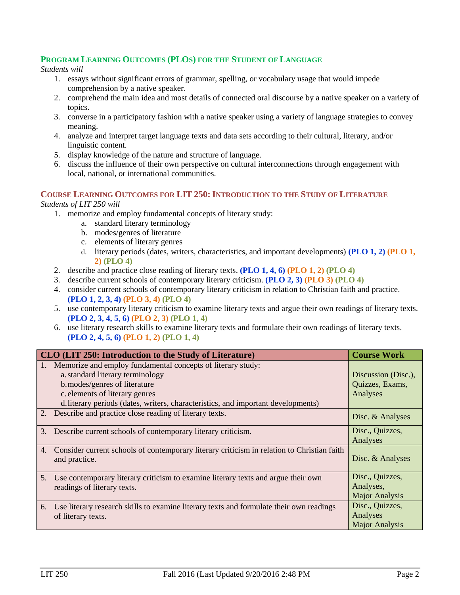#### **PROGRAM LEARNING OUTCOMES (PLOS) FOR THE STUDENT OF LANGUAGE**

#### *Students will*

- 1. essays without significant errors of grammar, spelling, or vocabulary usage that would impede comprehension by a native speaker.
- 2. comprehend the main idea and most details of connected oral discourse by a native speaker on a variety of topics.
- 3. converse in a participatory fashion with a native speaker using a variety of language strategies to convey meaning.
- 4. analyze and interpret target language texts and data sets according to their cultural, literary, and/or linguistic content.
- 5. display knowledge of the nature and structure of language.
- 6. discuss the influence of their own perspective on cultural interconnections through engagement with local, national, or international communities.

### **COURSE LEARNING OUTCOMES FOR LIT 250: INTRODUCTION TO THE STUDY OF LITERATURE**

#### *Students of LIT 250 will*

- 1. memorize and employ fundamental concepts of literary study:
	- a. standard literary terminology
	- b. modes/genres of literature
	- c. elements of literary genres
	- d. literary periods (dates, writers, characteristics, and important developments) **(PLO 1, 2) (PLO 1, 2) (PLO 4)**
- 2. describe and practice close reading of literary texts. **(PLO 1, 4, 6) (PLO 1, 2) (PLO 4)**
- 3. describe current schools of contemporary literary criticism. **(PLO 2, 3) (PLO 3) (PLO 4)**
- 4. consider current schools of contemporary literary criticism in relation to Christian faith and practice. **(PLO 1, 2, 3, 4) (PLO 3, 4) (PLO 4)**
- 5. use contemporary literary criticism to examine literary texts and argue their own readings of literary texts. **(PLO 2, 3, 4, 5, 6) (PLO 2, 3) (PLO 1, 4)**
- 6. use literary research skills to examine literary texts and formulate their own readings of literary texts. **(PLO 2, 4, 5, 6) (PLO 1, 2) (PLO 1, 4)**

|                | CLO (LIT 250: Introduction to the Study of Literature)                                     | <b>Course Work</b>    |
|----------------|--------------------------------------------------------------------------------------------|-----------------------|
|                | Memorize and employ fundamental concepts of literary study:                                |                       |
|                | a. standard literary terminology                                                           | Discussion (Disc.),   |
|                | b.modes/genres of literature                                                               | Quizzes, Exams,       |
|                | c. elements of literary genres                                                             | Analyses              |
|                | d. literary periods (dates, writers, characteristics, and important developments)          |                       |
|                | 2. Describe and practice close reading of literary texts.                                  | Disc. & Analyses      |
| 3.             | Describe current schools of contemporary literary criticism.                               | Disc., Quizzes,       |
|                |                                                                                            | Analyses              |
| 4.             | Consider current schools of contemporary literary criticism in relation to Christian faith |                       |
|                | and practice.                                                                              | Disc. & Analyses      |
|                |                                                                                            |                       |
| 5 <sub>1</sub> | Use contemporary literary criticism to examine literary texts and argue their own          | Disc., Quizzes,       |
|                | readings of literary texts.                                                                | Analyses,             |
|                |                                                                                            | <b>Major Analysis</b> |
| 6.             | Use literary research skills to examine literary texts and formulate their own readings    | Disc., Quizzes,       |
|                | of literary texts.                                                                         | Analyses              |
|                |                                                                                            | <b>Major Analysis</b> |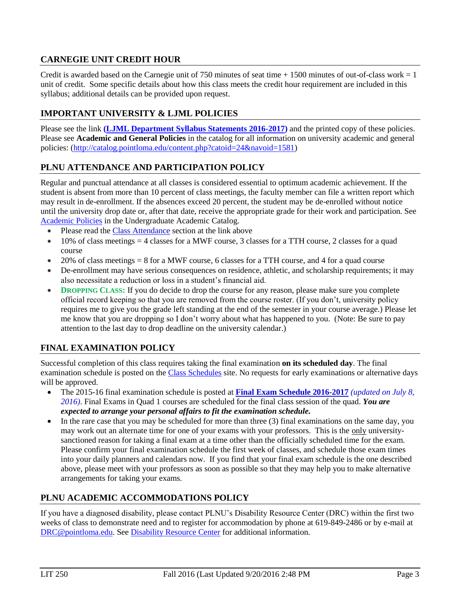### **CARNEGIE UNIT CREDIT HOUR**

Credit is awarded based on the Carnegie unit of 750 minutes of seat time  $+ 1500$  minutes of out-of-class work  $= 1$ unit of credit. Some specific details about how this class meets the credit hour requirement are included in this syllabus; additional details can be provided upon request.

## **IMPORTANT UNIVERSITY & LJML POLICIES**

Please see the link **(LJML [Department](http://www.pointloma.edu/sites/default/files/filemanager/Literature_Journalism__Modern_Languages/LJML_Department_Syllabus_Statments_final_2015-16.pdf) Syllabus Statements 2016-2017)** and the printed copy of these policies. Please see **Academic and General Policies** in the catalog for all information on university academic and general policies: [\(http://catalog.pointloma.edu/content.php?catoid=24&navoid=1581\)](http://catalog.pointloma.edu/content.php?catoid=24&navoid=1581)

## **PLNU ATTENDANCE AND PARTICIPATION POLICY**

Regular and punctual attendance at all classes is considered essential to optimum academic achievement. If the student is absent from more than 10 percent of class meetings, the faculty member can file a written report which may result in de-enrollment. If the absences exceed 20 percent, the student may be de-enrolled without notice until the university drop date or, after that date, receive the appropriate grade for their work and participation. See [Academic Policies](http://catalog.pointloma.edu/content.php?catoid=18&navoid=1278) in the Undergraduate Academic Catalog.

- Please read th[e Class Attendance](http://catalog.pointloma.edu/content.php?catoid=24&navoid=1581#Class_Attendance) section at the link above
- $10\%$  of class meetings = 4 classes for a MWF course, 3 classes for a TTH course, 2 classes for a quad course
- 20% of class meetings = 8 for a MWF course, 6 classes for a TTH course, and 4 for a quad course
- De-enrollment may have serious consequences on residence, athletic, and scholarship requirements; it may also necessitate a reduction or loss in a student's financial aid.
- **DROPPING CLASS:** If you do decide to drop the course for any reason, please make sure you complete official record keeping so that you are removed from the course roster. (If you don't, university policy requires me to give you the grade left standing at the end of the semester in your course average.) Please let me know that you are dropping so I don't worry about what has happened to you. (Note: Be sure to pay attention to the last day to drop deadline on the university calendar.)

## **FINAL EXAMINATION POLICY**

Successful completion of this class requires taking the final examination **on its scheduled day**. The final examination schedule is posted on the [Class Schedules](http://www.pointloma.edu/experience/academics/class-schedules) site. No requests for early examinations or alternative days will be approved.

- The 2015-16 final examination schedule is posted at **Final Exam Schedule [2016-2017](http://www.pointloma.edu/sites/default/files/filemanager/Academic_Affairs/Schedules/2016-17_Final_Exam_Schedule_-_MAIN_CAMPUS.pdf)** *(updated on July 8, 2016)*. Final Exams in Quad 1 courses are scheduled for the final class session of the quad. *You are expected to arrange your personal affairs to fit the examination schedule.*
- $\bullet$  In the rare case that you may be scheduled for more than three (3) final examinations on the same day, you may work out an alternate time for one of your exams with your professors. This is the only universitysanctioned reason for taking a final exam at a time other than the officially scheduled time for the exam. Please confirm your final examination schedule the first week of classes, and schedule those exam times into your daily planners and calendars now. If you find that your final exam schedule is the one described above, please meet with your professors as soon as possible so that they may help you to make alternative arrangements for taking your exams.

## **PLNU ACADEMIC ACCOMMODATIONS POLICY**

If you have a diagnosed disability, please contact PLNU's Disability Resource Center (DRC) within the first two weeks of class to demonstrate need and to register for accommodation by phone at 619-849-2486 or by e-mail at [DRC@pointloma.edu.](mailto:DRC@pointloma.edu) See [Disability Resource Center](http://www.pointloma.edu/experience/offices/administrative-offices/academic-advising-office/disability-resource-center) for additional information.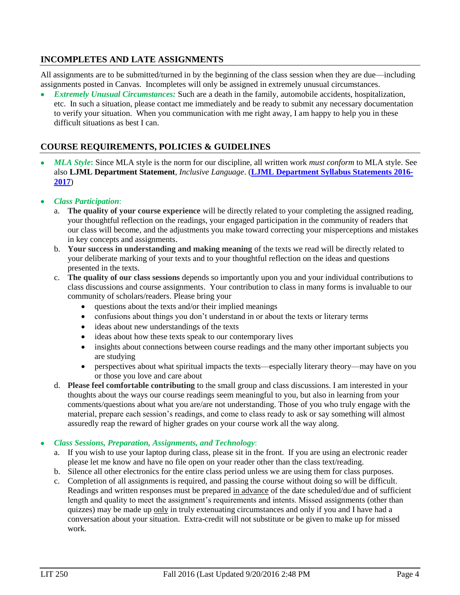### **INCOMPLETES AND LATE ASSIGNMENTS**

All assignments are to be submitted/turned in by the beginning of the class session when they are due—including assignments posted in Canvas. Incompletes will only be assigned in extremely unusual circumstances.

 *Extremely Unusual Circumstances:* Such are a death in the family, automobile accidents, hospitalization, etc. In such a situation, please contact me immediately and be ready to submit any necessary documentation to verify your situation. When you communication with me right away, I am happy to help you in these difficult situations as best I can.

### **COURSE REQUIREMENTS, POLICIES & GUIDELINES**

- *MLA Style***:** Since MLA style is the norm for our discipline, all written work *must conform* to MLA style. See also **LJML Department Statement**, *Inclusive Language*. (**LJML [Department](http://www.pointloma.edu/sites/default/files/filemanager/Literature_Journalism__Modern_Languages/LJML_Department_Syllabus_Statments_final_2015-16.pdf) Syllabus Statements 2016- [2017](http://www.pointloma.edu/sites/default/files/filemanager/Literature_Journalism__Modern_Languages/LJML_Department_Syllabus_Statments_final_2015-16.pdf)**)
- *Class Participation*:
	- a. **The quality of your course experience** will be directly related to your completing the assigned reading, your thoughtful reflection on the readings, your engaged participation in the community of readers that our class will become, and the adjustments you make toward correcting your misperceptions and mistakes in key concepts and assignments.
	- b. **Your success in understanding and making meaning** of the texts we read will be directly related to your deliberate marking of your texts and to your thoughtful reflection on the ideas and questions presented in the texts.
	- c. **The quality of our class sessions** depends so importantly upon you and your individual contributions to class discussions and course assignments. Your contribution to class in many forms is invaluable to our community of scholars/readers. Please bring your
		- questions about the texts and/or their implied meanings
		- confusions about things you don't understand in or about the texts or literary terms
		- ideas about new understandings of the texts
		- ideas about how these texts speak to our contemporary lives
		- insights about connections between course readings and the many other important subjects you are studying
		- perspectives about what spiritual impacts the texts—especially literary theory—may have on you or those you love and care about
	- d. **Please feel comfortable contributing** to the small group and class discussions. I am interested in your thoughts about the ways our course readings seem meaningful to you, but also in learning from your comments/questions about what you are/are not understanding. Those of you who truly engage with the material, prepare each session's readings, and come to class ready to ask or say something will almost assuredly reap the reward of higher grades on your course work all the way along.

#### *Class Sessions, Preparation, Assignments, and Technology*:

- a. If you wish to use your laptop during class, please sit in the front. If you are using an electronic reader please let me know and have no file open on your reader other than the class text/reading.
- b. Silence all other electronics for the entire class period unless we are using them for class purposes.
- c. Completion of all assignments is required, and passing the course without doing so will be difficult. Readings and written responses must be prepared in advance of the date scheduled/due and of sufficient length and quality to meet the assignment's requirements and intents. Missed assignments (other than quizzes) may be made up only in truly extenuating circumstances and only if you and I have had a conversation about your situation. Extra-credit will not substitute or be given to make up for missed work.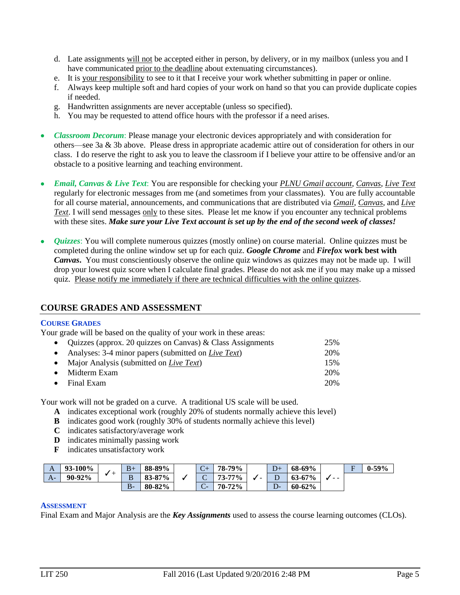- d. Late assignments will not be accepted either in person, by delivery, or in my mailbox (unless you and I have communicated prior to the deadline about extenuating circumstances).
- e. It is your responsibility to see to it that I receive your work whether submitting in paper or online.
- f. Always keep multiple soft and hard copies of your work on hand so that you can provide duplicate copies if needed.
- g. Handwritten assignments are never acceptable (unless so specified).
- h. You may be requested to attend office hours with the professor if a need arises.
- *Classroom Decorum*: Please manage your electronic devices appropriately and with consideration for others—see 3a & 3b above. Please dress in appropriate academic attire out of consideration for others in our class. I do reserve the right to ask you to leave the classroom if I believe your attire to be offensive and/or an obstacle to a positive learning and teaching environment.
- *Email, Canvas & Live Text*: You are responsible for checking your *PLNU Gmail account*, *Canvas*, *Live Text* regularly for electronic messages from me (and sometimes from your classmates). You are fully accountable for all course material, announcements, and communications that are distributed via *Gmail*, *Canvas*, and *Live Text*. I will send messages only to these sites. Please let me know if you encounter any technical problems with these sites. *Make sure your Live Text account is set up by the end of the second week of classes!*
- *Quizzes*: You will complete numerous quizzes (mostly online) on course material. Online quizzes must be completed during the online window set up for each quiz. *Google Chrome* and *Firefox* **work best with**  *Canvas***.** You must conscientiously observe the online quiz windows as quizzes may not be made up. I will drop your lowest quiz score when I calculate final grades. Please do not ask me if you may make up a missed quiz. Please notify me immediately if there are technical difficulties with the online quizzes.

#### **COURSE GRADES AND ASSESSMENT**

#### **COURSE GRADES**

Your grade will be based on the quality of your work in these areas:

| • Quizzes (approx. 20 quizzes on Canvas) & Class Assignments  | 25% |
|---------------------------------------------------------------|-----|
| • Analyses: 3-4 minor papers (submitted on <i>Live Text</i> ) | 20% |
| • Major Analysis (submitted on Live Text)                     | 15% |
| $\bullet$ Midterm Exam                                        | 20% |
| $\bullet$ Final Exam                                          | 20% |

Your work will not be graded on a curve. A traditional US scale will be used.

- **A** indicates exceptional work (roughly 20% of students normally achieve this level)
- **B** indicates good work (roughly 30% of students normally achieve this level)
- **C** indicates satisfactory/average work
- **D** indicates minimally passing work
- **F** indicates unsatisfactory work

| A    | 93-100% |   | $B+$  | 88-89%           | $\sqrt{ }$<br>$\mathsf{C}\mathsf{+}$ | 79%<br>78-.  |                          | --  | 68-69%     |      | $\overline{\phantom{0}}$ | -59% |
|------|---------|---|-------|------------------|--------------------------------------|--------------|--------------------------|-----|------------|------|--------------------------|------|
| $A-$ | 90-92%  | - | B     | 87%<br>83-87     | ∼<br>$\check{~}$                     | 77%<br>73-   | $\overline{\phantom{0}}$ | ≖   | $63 - 67%$ | $ -$ |                          |      |
|      |         |   | $B -$ | 82%<br>$80 - 82$ | $\sim$<br>$\sim$                     | 72%<br>$70-$ |                          | سور | $60 - 62%$ |      |                          |      |

#### **ASSESSMENT**

Final Exam and Major Analysis are the *Key Assignments* used to assess the course learning outcomes (CLOs).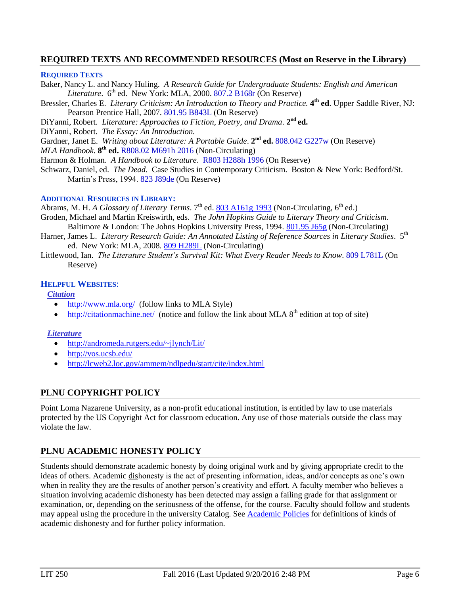### **REQUIRED TEXTS AND RECOMMENDED RESOURCES (Most on Reserve in the Library)**

#### **REQUIRED TEXTS**

- Baker, Nancy L. and Nancy Huling. *A Research Guide for Undergraduate Students: English and American*  Literature. 6<sup>th</sup> ed. New York: MLA, 2000. 807.2 B168r (On Reserve)
- Bressler, Charles E. *Literary Criticism: An Introduction to Theory and Practice.* **4 th ed**. Upper Saddle River, NJ: Pearson Prentice Hall, 2007. 801.95 B843L (On Reserve)
- DiYanni, Robert. *Literature: Approaches to Fiction, Poetry, and Drama.* 2<sup>nd</sup> ed.
- DiYanni, Robert. *The Essay: An Introduction.*

Gardner, Janet E. Writing about Literature: A Portable Guide. 2<sup>nd</sup> ed. 808.042 G227w (On Reserve)

*MLA Handbook*. **8 th ed.** R808.02 M691h 2016 (Non-Circulating)

- Harmon & Holman. *A Handbook to Literature*. R803 H288h 1996 (On Reserve)
- Schwarz, Daniel, ed. *The Dead*. Case Studies in Contemporary Criticism. Boston & New York: Bedford/St. Martin's Press, 1994. 823 J89de (On Reserve)

#### **ADDITIONAL RESOURCES IN LIBRARY:**

Abrams, M. H. *A Glossary of Literary Terms*. 7<sup>th</sup> ed[. 803 A161g 1993](http://phineas.pointloma.edu/search~S0?/c803+A161g+1993/c803+a161g+1993/-3,-1,,E/browse) (Non-Circulating, 6<sup>th</sup> ed.)

- Groden, Michael and Martin Kreiswirth, eds. *The John Hopkins Guide to Literary Theory and Criticism*. Baltimore & London: The Johns Hopkins University Press, 1994. [801.95 J65g](http://phineas.pointloma.edu/search~S0?/c801.95+J65g/c801.95+j65g/-3,-1,,E/browse) (Non-Circulating)
- Harner, James L. *Literary Research Guide: An Annotated Listing of Reference Sources in Literary Studies*. 5<sup>th</sup> ed. New York: MLA, 2008. [809 H289L](http://phineas.pointloma.edu/search~S0?/c809+H289L/c809+h289l/-3,-1,,E/browse) (Non-Circulating)
- Littlewood, Ian. *The Literature Student's Survival Kit: What Every Reader Needs to Know*. 809 L781L (On Reserve)

#### **HELPFUL WEBSITES**:

*Citation*

- <http://www.mla.org/>(follow links to MLA Style)
- $\bullet$  <http://citationmachine.net/>(notice and follow the link about MLA  $8<sup>th</sup>$  edition at top of site)

#### *Literature*

- <http://andromeda.rutgers.edu/~jlynch/Lit/>
- <http://vos.ucsb.edu/>
- <http://lcweb2.loc.gov/ammem/ndlpedu/start/cite/index.html>

### **PLNU COPYRIGHT POLICY**

Point Loma Nazarene University, as a non-profit educational institution, is entitled by law to use materials protected by the US Copyright Act for classroom education. Any use of those materials outside the class may violate the law.

### **PLNU ACADEMIC HONESTY POLICY**

Students should demonstrate academic honesty by doing original work and by giving appropriate credit to the ideas of others. Academic dishonesty is the act of presenting information, ideas, and/or concepts as one's own when in reality they are the results of another person's creativity and effort. A faculty member who believes a situation involving academic dishonesty has been detected may assign a failing grade for that assignment or examination, or, depending on the seriousness of the offense, for the course. Faculty should follow and students may appeal using the procedure in the university Catalog. See [Academic Policies](http://catalog.pointloma.edu/content.php?catoid=18&navoid=1278) for definitions of kinds of academic dishonesty and for further policy information.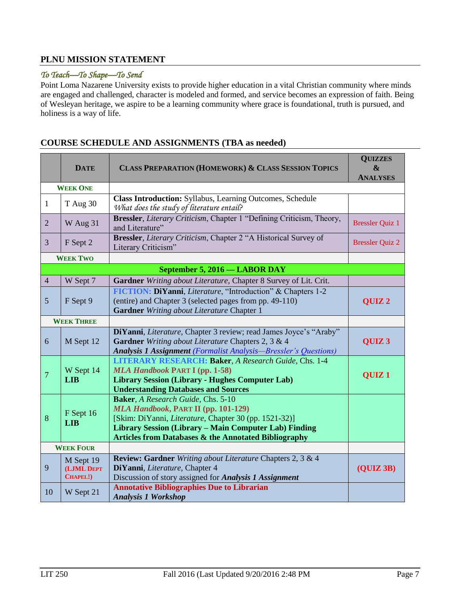### **PLNU MISSION STATEMENT**

#### *To Teach—To Shape—To Send*

Point Loma Nazarene University exists to provide higher education in a vital Christian community where minds are engaged and challenged, character is modeled and formed, and service becomes an expression of faith. Being of Wesleyan heritage, we aspire to be a learning community where grace is foundational, truth is pursued, and holiness is a way of life.

#### **DATE CLASS PREPARATION (HOMEWORK) & CLASS SESSION TOPICS QUIZZES & ANALYSES WEEK ONE**  $1 \int_{\text{T} \text{Aug } 30}$  **Class Introduction:** Syllabus, Learning Outcomes, Schedule *What does the study of literature entail?* 2  $\mathbf{W}$  Aug 31 **Bressler**, *Literary Criticism*, Chapter 1 "Defining Criticism, Theory, Bressler Quiz 1 <sup>3</sup> F Sept 2 **Bressler**, *Literary Criticism*, Chapter 2 "A Historical Survey of Bressler, *Electric Criticism*, Chapter 2, A Historical Burvey of Bressler Quiz 2 **WEEK TWO September 5, 2016 — LABOR DAY** 4 W Sept 7 **Gardner** *Writing about Literature,* Chapter 8 Survey of Lit. Crit.  $5$  | F Sept 9 **FICTION: DiYanni**, *Literature*, "Introduction" & Chapters 1-2 (entire) and Chapter 3 (selected pages from pp. 49-110) **Gardner** *Writing about Literature* Chapter 1 **QUIZ 2 WEEK THREE** 6 M Sept 12 **DiYanni**, *Literature*, Chapter 3 review; read James Joyce's "Araby" **Gardner** *Writing about Literature* Chapters 2, 3 & 4 *Analysis 1 Assignment (Formalist Analysis—Bressler's Questions)* **QUIZ 3** 7 W Sept 14 **LIB LITERARY RESEARCH: Baker**, *A Research Guide*, Chs. 1-4 *MLA Handbook* **PART I (pp. 1-58) Library Session (Library - Hughes Computer Lab) Understanding Databases and Sources QUIZ 1** 8 F Sept 16 **LIB Baker**, *A Research Guide*, Chs. 5-10 *MLA Handbook***, PART II (pp. 101-129)** [Skim: DiYanni, *Literature*, Chapter 30 (pp. 1521-32)] **Library Session (Library – Main Computer Lab) Finding Articles from Databases & the Annotated Bibliography WEEK FOUR** 9 M Sept 19 **(LJML DEPT CHAPEL!) Review: Gardner** *Writing about Literature* Chapters 2, 3 & 4 **DiYanni**, *Literature*, Chapter 4 Discussion of story assigned for *Analysis 1 Assignment* **(QUIZ 3B)** <sup>10</sup> W Sept 21 **Annotative Bibliographies Due to Librarian** *Analysis 1 Workshop*

### **COURSE SCHEDULE AND ASSIGNMENTS (TBA as needed)**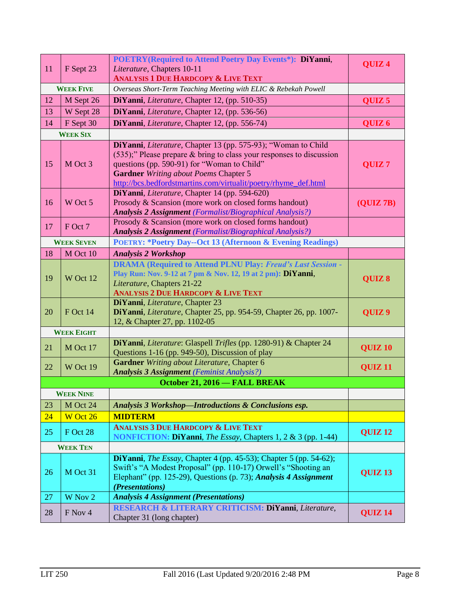| 11 | F Sept 23         | POETRY(Required to Attend Poetry Day Events*): DiYanni,<br>Literature, Chapters 10-11                                                                                                                                                                                                                      | QUIZ <sub>4</sub>  |
|----|-------------------|------------------------------------------------------------------------------------------------------------------------------------------------------------------------------------------------------------------------------------------------------------------------------------------------------------|--------------------|
|    |                   | <b>ANALYSIS 1 DUE HARDCOPY &amp; LIVE TEXT</b>                                                                                                                                                                                                                                                             |                    |
|    | <b>WEEK FIVE</b>  | Overseas Short-Term Teaching Meeting with ELIC & Rebekah Powell                                                                                                                                                                                                                                            |                    |
| 12 | M Sept 26         | DiYanni, Literature, Chapter 12, (pp. 510-35)                                                                                                                                                                                                                                                              | QUIZ <sub>5</sub>  |
| 13 | W Sept 28         | DiYanni, Literature, Chapter 12, (pp. 536-56)                                                                                                                                                                                                                                                              |                    |
| 14 | F Sept 30         | DiYanni, Literature, Chapter 12, (pp. 556-74)                                                                                                                                                                                                                                                              | QUIZ <sub>6</sub>  |
|    | <b>WEEK SIX</b>   |                                                                                                                                                                                                                                                                                                            |                    |
| 15 | M Oct 3           | DiYanni, Literature, Chapter 13 (pp. 575-93); "Woman to Child<br>$(535)$ ;" Please prepare & bring to class your responses to discussion<br>questions (pp. 590-91) for "Woman to Child"<br><b>Gardner</b> Writing about Poems Chapter 5<br>http://bcs.bedfordstmartins.com/virtualit/poetry/rhyme_def.html | QUIZ <sub>7</sub>  |
| 16 | W Oct 5           | DiYanni, Literature, Chapter 14 (pp. 594-620)<br>Prosody & Scansion (more work on closed forms handout)<br><b>Analysis 2 Assignment</b> (Formalist/Biographical Analysis?)                                                                                                                                 | (QUIZ7B)           |
| 17 | F Oct 7           | Prosody & Scansion (more work on closed forms handout)<br><b>Analysis 2 Assignment</b> (Formalist/Biographical Analysis?)                                                                                                                                                                                  |                    |
|    | <b>WEEK SEVEN</b> | <b>POETRY: *Poetry Day--Oct 13 (Afternoon &amp; Evening Readings)</b>                                                                                                                                                                                                                                      |                    |
| 18 | M Oct 10          | <b>Analysis 2 Workshop</b>                                                                                                                                                                                                                                                                                 |                    |
| 19 | W Oct 12          | <b>DRAMA</b> (Required to Attend PLNU Play: Freud's Last Session -<br>Play Run: Nov. 9-12 at 7 pm & Nov. 12, 19 at 2 pm): DiYanni,<br>Literature, Chapters 21-22<br><b>ANALYSIS 2 DUE HARDCOPY &amp; LIVE TEXT</b>                                                                                         | QUIZ 8             |
| 20 | F Oct 14          | DiYanni, Literature, Chapter 23<br>DiYanni, Literature, Chapter 25, pp. 954-59, Chapter 26, pp. 1007-<br>12, & Chapter 27, pp. 1102-05                                                                                                                                                                     | QUIZ <sub>9</sub>  |
|    | <b>WEEK EIGHT</b> |                                                                                                                                                                                                                                                                                                            |                    |
| 21 | M Oct 17          | DiYanni, Literature: Glaspell Trifles (pp. 1280-91) & Chapter 24<br>Questions 1-16 (pp. 949-50), Discussion of play                                                                                                                                                                                        | <b>QUIZ 10</b>     |
| 22 | W Oct 19          | Gardner Writing about Literature, Chapter 6<br><b>Analysis 3 Assignment</b> (Feminist Analysis?)                                                                                                                                                                                                           | QUIZ <sub>11</sub> |
|    |                   | October 21, 2016 - FALL BREAK                                                                                                                                                                                                                                                                              |                    |
|    | <b>WEEK NINE</b>  |                                                                                                                                                                                                                                                                                                            |                    |
| 23 | M Oct 24          | Analysis 3 Workshop-Introductions & Conclusions esp.                                                                                                                                                                                                                                                       |                    |
| 24 | W Oct 26          | <b>MIDTERM</b>                                                                                                                                                                                                                                                                                             |                    |
| 25 | F Oct 28          | <b>ANALYSIS 3 DUE HARDCOPY &amp; LIVE TEXT</b><br><b>NONFICTION: DiYanni</b> , <i>The Essay</i> , Chapters 1, 2 & 3 (pp. 1-44)                                                                                                                                                                             | <b>QUIZ 12</b>     |
|    | <b>WEEK TEN</b>   |                                                                                                                                                                                                                                                                                                            |                    |
| 26 | M Oct 31          | <b>DiYanni</b> , <i>The Essay</i> , Chapter 4 (pp. 45-53); Chapter 5 (pp. 54-62);<br>Swift's "A Modest Proposal" (pp. 110-17) Orwell's "Shooting an<br>Elephant" (pp. 125-29), Questions (p. 73); Analysis 4 Assignment<br>(Presentations)                                                                 | QUIZ <sub>13</sub> |
| 27 | W Nov 2           | <b>Analysis 4 Assignment (Presentations)</b>                                                                                                                                                                                                                                                               |                    |
| 28 | F Nov 4           | RESEARCH & LITERARY CRITICISM: DiYanni, Literature,<br>Chapter 31 (long chapter)                                                                                                                                                                                                                           | QUIZ <sub>14</sub> |